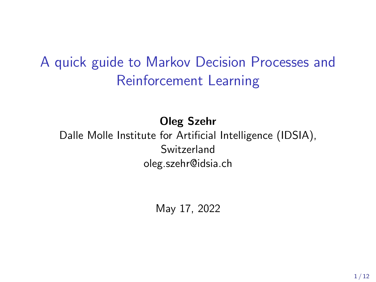# A quick guide to Markov Decision Processes and Reinforcement Learning

Oleg Szehr

Dalle Molle Institute for Artificial Intelligence (IDSIA), Switzerland oleg.szehr@idsia.ch

May 17, 2022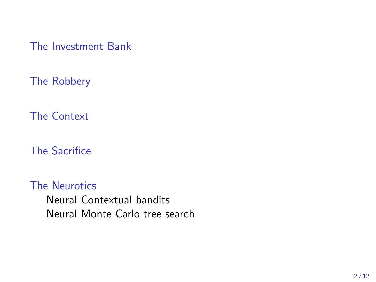[The Investment Bank](#page-2-0)

[The Robbery](#page-2-0)

[The Context](#page-2-0)

[The Sacrifice](#page-2-0)

[The Neurotics](#page-3-0) [Neural Contextual bandits](#page-3-0) [Neural Monte Carlo tree search](#page-7-0)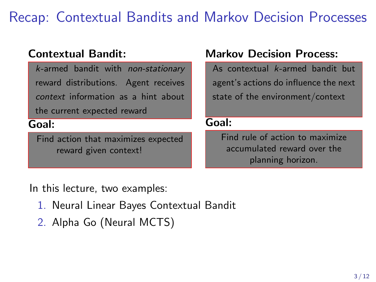# <span id="page-2-0"></span>Recap: Contextual Bandits and Markov Decision Processes

#### Contextual Bandit:

k-armed bandit with non-stationary reward distributions. Agent receives context information as a hint about the current expected reward

#### Goal:

Find action that maximizes expected reward given context!

#### Markov Decision Process:

As contextual k-armed bandit but agent's actions do influence the next state of the environment/context

#### Goal:

Find rule of action to maximize accumulated reward over the planning horizon.

In this lecture, two examples:

- 1. Neural Linear Bayes Contextual Bandit
- 2. Alpha Go (Neural MCTS)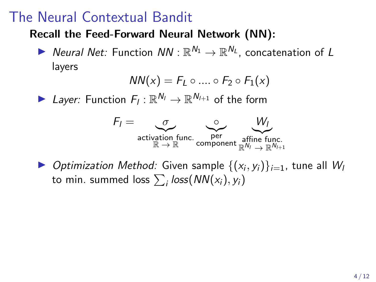### <span id="page-3-0"></span>The Neural Contextual Bandit

#### Recall the Feed-Forward Neural Network (NN):

▶ Neural Net: Function  $NN : \mathbb{R}^{N_1} \to \mathbb{R}^{N_L}$ , concatenation of L layers

$$
NN(x) = F_L \circ .... \circ F_2 \circ F_1(x)
$$

▶ Layer: Function  $F_I: \mathbb{R}^{N_I} \to \mathbb{R}^{N_{I+1}}$  of the form



▶ Optimization Method: Given sample  $\{(x_i, y_i)\}_{i=1}$ , tune all W to min. summed loss  $\sum_i\textit{loss}\big(\textit{NN}(x_i), y_i\big)$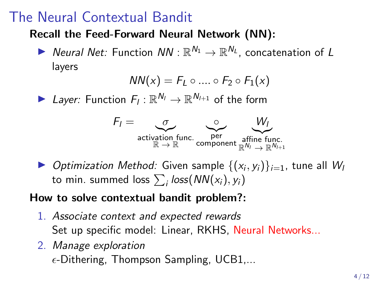## The Neural Contextual Bandit

#### Recall the Feed-Forward Neural Network (NN):

▶ Neural Net: Function  $NN : \mathbb{R}^{N_1} \to \mathbb{R}^{N_L}$ , concatenation of L layers

$$
NN(x) = F_L \circ .... \circ F_2 \circ F_1(x)
$$

▶ Layer: Function  $F_I: \mathbb{R}^{N_I} \to \mathbb{R}^{N_{I+1}}$  of the form



▶ Optimization Method: Given sample  $\{(x_i, y_i)\}_{i=1}$ , tune all W to min. summed loss  $\sum_i\textit{loss}\big(\textit{NN}(x_i), y_i\big)$ 

#### How to solve contextual bandit problem?:

- 1. Associate context and expected rewards Set up specific model: Linear, RKHS, Neural Networks...
- 2. Manage exploration  $\epsilon$ -Dithering, Thompson Sampling, UCB1,...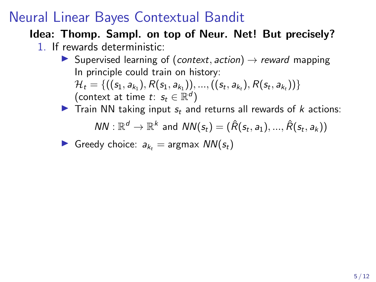## Neural Linear Bayes Contextual Bandit

#### Idea: Thomp. Sampl. on top of Neur. Net! But precisely?

- 1. If rewards deterministic:
	- **I** Supervised learning of (context, action)  $\rightarrow$  reward mapping In principle could train on history:  $\mathcal{H}_t = \{ ((s_1, a_{k_1}), R(s_1, a_{k_1})), ..., ((s_t, a_{k_t}), R(s_t, a_{k_t})) \}$ (context at time  $t: s_t \in \mathbb{R}^d$ )

► Train NN taking input 
$$
s_t
$$
 and returns all rewards of  $k$  actions:  $NN : \mathbb{R}^d \to \mathbb{R}^k$  and  $NN(s_t) = (\hat{R}(s_t, a_1), ..., \hat{R}(s_t, a_k))$ 

**Example 2** Greedy choice: 
$$
a_{k_t}
$$
 = argmax  $NN(s_t)$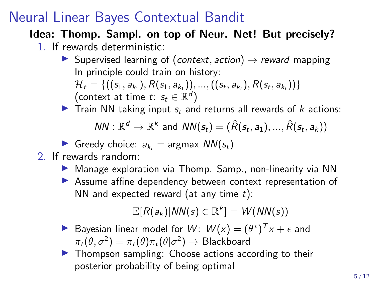## Neural Linear Bayes Contextual Bandit

#### Idea: Thomp. Sampl. on top of Neur. Net! But precisely?

- 1. If rewards deterministic:
	- **I** Supervised learning of (context, action)  $\rightarrow$  reward mapping In principle could train on history:  $\mathcal{H}_t = \{ ((s_1, a_{k_1}), R(s_1, a_{k_1})), ..., ((s_t, a_{k_t}), R(s_t, a_{k_t})) \}$ (context at time  $t: s_t \in \mathbb{R}^d$ )

**Train NN taking input**  $s_t$  **and returns all rewards of k actions:** 

 $NN: \mathbb{R}^d \to \mathbb{R}^k$  and  $NN(s_t) = (\hat{R}(s_t, a_1), ..., \hat{R}(s_t, a_k))$ 

Greedy choice:  $a_{k_1}$  = argmax  $NN(s_t)$ 

- 2. If rewards random:
	- ▶ Manage exploration via Thomp. Samp., non-linearity via NN
	- **EXECUTE:** Assume affine dependency between context representation of NN and expected reward (at any time  $t$ ):

 $\mathbb{E}[R(a_k)|\mathsf{NN}(s) \in \mathbb{R}^k] = \mathsf{W}(\mathsf{NN}(s))$ 

- Bayesian linear model for  $W: W(x) = (\theta^*)^T x + \epsilon$  and  $\pi_t(\theta,\sigma^2)=\pi_t(\theta)\pi_t(\theta|\sigma^2)\to\mathsf{Blackboard}$
- $\blacktriangleright$  Thompson sampling: Choose actions according to their posterior probability of being optimal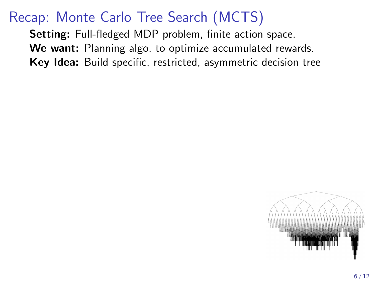# <span id="page-7-0"></span>Recap: Monte Carlo Tree Search (MCTS)

Setting: Full-fledged MDP problem, finite action space. We want: Planning algo. to optimize accumulated rewards. Key Idea: Build specific, restricted, asymmetric decision tree

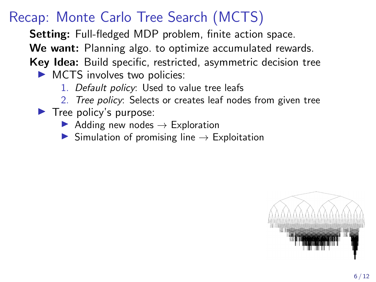# Recap: Monte Carlo Tree Search (MCTS)

Setting: Full-fledged MDP problem, finite action space.

We want: Planning algo. to optimize accumulated rewards.

Key Idea: Build specific, restricted, asymmetric decision tree

- $\triangleright$  MCTS involves two policies:
	- 1. Default policy: Used to value tree leafs
	- 2. Tree policy: Selects or creates leaf nodes from given tree
- $\blacktriangleright$  Tree policy's purpose:
	- $\blacktriangleright$  Adding new nodes  $\rightarrow$  Exploration
	- $\triangleright$  Simulation of promising line  $\rightarrow$  Exploitation

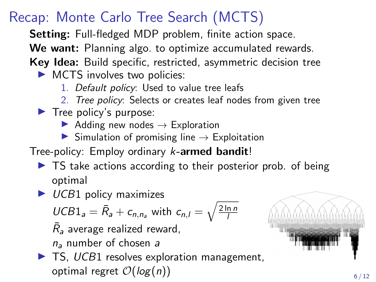# Recap: Monte Carlo Tree Search (MCTS)

Setting: Full-fledged MDP problem, finite action space.

We want: Planning algo. to optimize accumulated rewards.

Key Idea: Build specific, restricted, asymmetric decision tree

- $\triangleright$  MCTS involves two policies:
	- 1. Default policy: Used to value tree leafs
	- 2. Tree policy: Selects or creates leaf nodes from given tree
- $\blacktriangleright$  Tree policy's purpose:
	- Adding new nodes  $\rightarrow$  Exploration
	- $\triangleright$  Simulation of promising line  $\rightarrow$  Exploitation

Tree-policy: Employ ordinary k-armed bandit!

- $\triangleright$  TS take actions according to their posterior prob. of being optimal
- $\triangleright$  UCB1 policy maximizes

$$
UCB1_a = \bar{R}_a + c_{n,n_a} \text{ with } c_{n,l} = \sqrt{\frac{2 \ln n}{l}}
$$

 $\bar{R}_{\mathit{a}}$  average realized reward,

 $n_a$  number of chosen a

 $\blacktriangleright$  TS, UCB1 resolves exploration management, optimal regret  $\mathcal{O}(\log(n))$  6/12

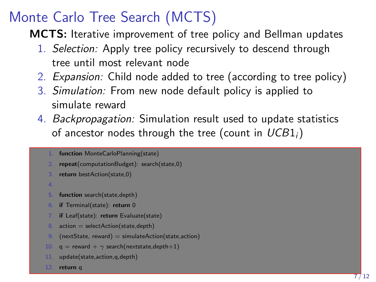# Monte Carlo Tree Search (MCTS)

MCTS: Iterative improvement of tree policy and Bellman updates

- 1. Selection: Apply tree policy recursively to descend through tree until most relevant node
- 2. Expansion: Child node added to tree (according to tree policy)
- 3. Simulation: From new node default policy is applied to simulate reward
- 4. Backpropagation: Simulation result used to update statistics of ancestor nodes through the tree (count in  $UCB1_i$ )
	- function MonteCarloPlanning(state)
	- repeat(computationBudget): search(state,0)
	- return bestAction(state.0)
	- 4.
	- 5. function search(state,depth)
	- 6. if Terminal(state): return 0
	- if Leaf(state): return Evaluate(state)
	- 8. action = selectAction(state, depth)
	- 9.  $(nextState, reward) = simulateAction(state, action)$
	- 10.  $q =$  reward +  $\gamma$  search(nextstate.depth+1)
	- 11. update(state, action, g, depth)
	- 12. return q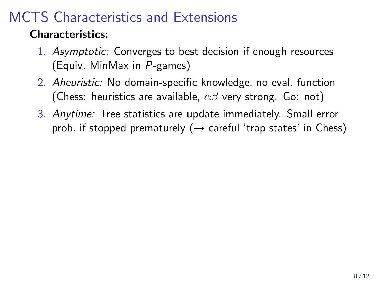# MCTS Characteristics and Extensions

### Characteristics:

- 1. Asymptotic: Converges to best decision if enough resources (Equiv. MinMax in P-games)
- 2. Aheuristic: No domain-specific knowledge, no eval. function (Chess: heuristics are available,  $\alpha\beta$  very strong. Go: not)
- 3. Anytime: Tree statistics are update immediately. Small error prob. if stopped prematurely ( $\rightarrow$  careful 'trap states' in Chess)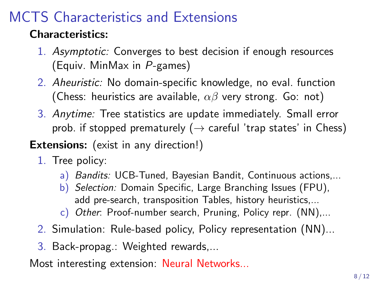# MCTS Characteristics and Extensions

### Characteristics:

- 1. Asymptotic: Converges to best decision if enough resources (Equiv. MinMax in P-games)
- 2. Aheuristic: No domain-specific knowledge, no eval. function (Chess: heuristics are available,  $\alpha\beta$  very strong. Go: not)
- 3. Anytime: Tree statistics are update immediately. Small error prob. if stopped prematurely ( $\rightarrow$  careful 'trap states' in Chess)

#### **Extensions:** (exist in any direction!)

- 1. Tree policy:
	- a) Bandits: UCB-Tuned, Bayesian Bandit, Continuous actions,...
	- b) Selection: Domain Specific, Large Branching Issues (FPU), add pre-search, transposition Tables, history heuristics,...
	- c) Other: Proof-number search, Pruning, Policy repr. (NN),...
- 2. Simulation: Rule-based policy, Policy representation (NN)...
- 3. Back-propag.: Weighted rewards,...

Most interesting extension: Neural Networks...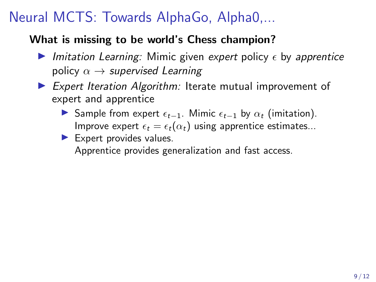# Neural MCTS: Towards AlphaGo, Alpha0,...

#### What is missing to be world's Chess champion?

- Imitation Learning: Mimic given expert policy  $\epsilon$  by apprentice policy  $\alpha \rightarrow$  supervised Learning
- $\triangleright$  Expert Iteration Algorithm: Iterate mutual improvement of expert and apprentice
	- **IF** Sample from expert  $\epsilon_{t-1}$ . Mimic  $\epsilon_{t-1}$  by  $\alpha_t$  (imitation). Improve expert  $\epsilon_t = \epsilon_t(\alpha_t)$  using apprentice estimates...
	- $\blacktriangleright$  Expert provides values.

Apprentice provides generalization and fast access.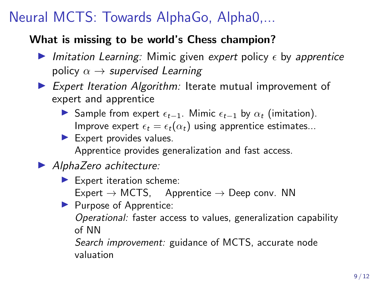# Neural MCTS: Towards AlphaGo, Alpha0,...

#### What is missing to be world's Chess champion?

- Imitation Learning: Mimic given expert policy  $\epsilon$  by apprentice policy  $\alpha \rightarrow$  supervised Learning
- $\triangleright$  Expert Iteration Algorithm: Iterate mutual improvement of expert and apprentice
	- **IF** Sample from expert  $\epsilon_{t-1}$ . Mimic  $\epsilon_{t-1}$  by  $\alpha_t$  (imitation). Improve expert  $\epsilon_t = \epsilon_t(\alpha_t)$  using apprentice estimates...
	- $\blacktriangleright$  Expert provides values. Apprentice provides generalization and fast access.

### $\blacktriangleright$  AlphaZero achitecture:

- $\blacktriangleright$  Expert iteration scheme:  $Expert \rightarrow MCTS$ , Apprentice  $\rightarrow$  Deep conv. NN
- $\blacktriangleright$  Purpose of Apprentice: Operational: faster access to values, generalization capability of NN

Search *improvement:* guidance of MCTS, accurate node valuation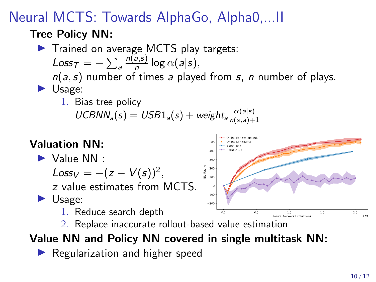# Neural MCTS: Towards AlphaGo, Alpha0,...II

### Tree Policy NN:

 $\blacktriangleright$  Trained on average MCTS play targets: Loss $\tau = -\sum_a$  $n(a,s)$  $\frac{a(3)}{n}$  log  $\alpha(a|s)$ ,  $n(a, s)$  number of times a played from s, n number of plays.  $\blacktriangleright$  Usage:

1. Bias tree policy

 $UCBNN_a(s) = USB1_a(s) + weight_a \frac{\alpha(a|s)}{n(s,a)+}$  $n(s,a)+1$ 

### Valuation NN:

 $\blacktriangleright$  Value NN :

 $Loss_V = -(z - V(s))^2,$ 

z value estimates from MCTS.

 $\blacktriangleright$  Usage:

1. Reduce search depth

2. Replace inaccurate rollout-based value estimation

### Value NN and Policy NN covered in single multitask NN:

 $\blacktriangleright$  Regularization and higher speed

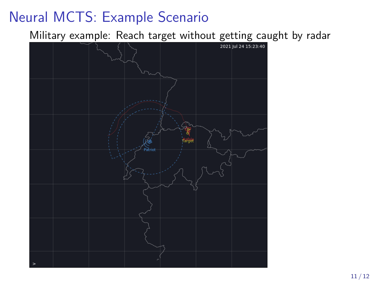## Neural MCTS: Example Scenario

Military example: Reach target without getting caught by radar